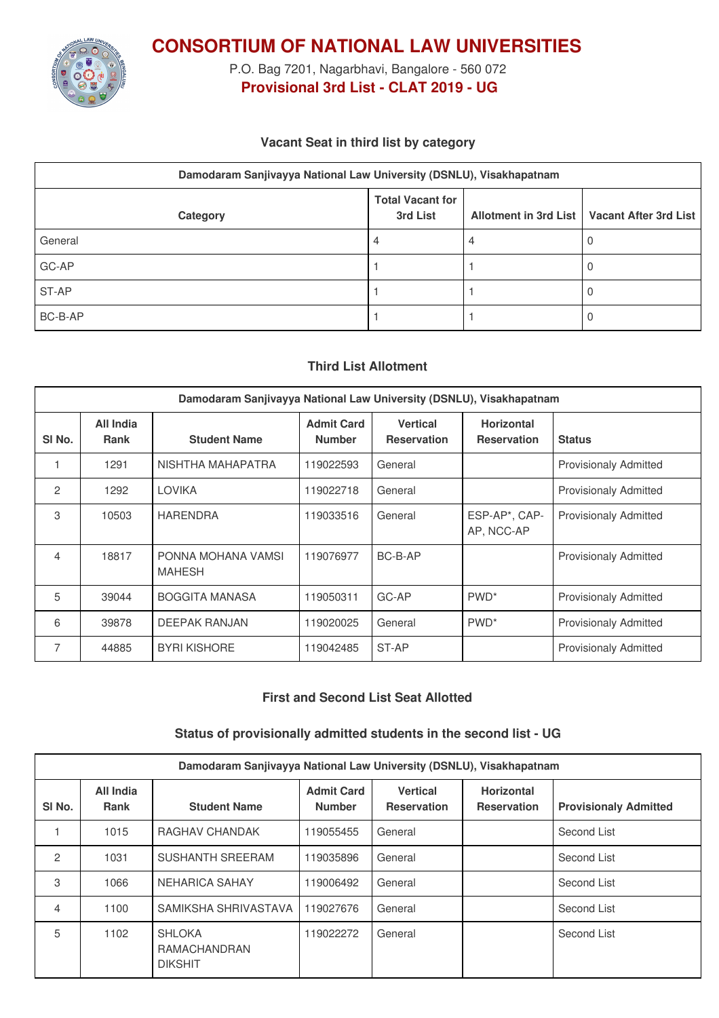

**CONSORTIUM OF NATIONAL LAW UNIVERSITIES**

P.O. Bag 7201, Nagarbhavi, Bangalore - 560 072 **Provisional 3rd List - CLAT 2019 - UG**

### **Vacant Seat in third list by category**

|          | Damodaram Sanjivayya National Law University (DSNLU), Visakhapatnam |  |                                               |  |  |  |
|----------|---------------------------------------------------------------------|--|-----------------------------------------------|--|--|--|
| Category | <b>Total Vacant for</b><br>3rd List                                 |  | Allotment in 3rd List   Vacant After 3rd List |  |  |  |
| General  | 4                                                                   |  |                                               |  |  |  |
| GC-AP    |                                                                     |  |                                               |  |  |  |
| ST-AP    |                                                                     |  |                                               |  |  |  |
| BC-B-AP  |                                                                     |  |                                               |  |  |  |

## **Third List Allotment**

| Damodaram Sanjivayya National Law University (DSNLU), Visakhapatnam |                          |                                     |                                    |                                       |                                         |                              |
|---------------------------------------------------------------------|--------------------------|-------------------------------------|------------------------------------|---------------------------------------|-----------------------------------------|------------------------------|
| SI <sub>No.</sub>                                                   | All India<br><b>Rank</b> | <b>Student Name</b>                 | <b>Admit Card</b><br><b>Number</b> | <b>Vertical</b><br><b>Reservation</b> | <b>Horizontal</b><br><b>Reservation</b> | <b>Status</b>                |
|                                                                     | 1291                     | NISHTHA MAHAPATRA                   | 119022593                          | General                               |                                         | <b>Provisionaly Admitted</b> |
| 2                                                                   | 1292                     | <b>LOVIKA</b>                       | 119022718                          | General                               |                                         | <b>Provisionaly Admitted</b> |
| 3                                                                   | 10503                    | <b>HARENDRA</b>                     | 119033516                          | General                               | ESP-AP*, CAP-<br>AP, NCC-AP             | <b>Provisionaly Admitted</b> |
| 4                                                                   | 18817                    | PONNA MOHANA VAMSI<br><b>MAHESH</b> | 119076977                          | BC-B-AP                               |                                         | <b>Provisionaly Admitted</b> |
| 5                                                                   | 39044                    | <b>BOGGITA MANASA</b>               | 119050311                          | GC-AP                                 | PWD <sup>*</sup>                        | <b>Provisionaly Admitted</b> |
| 6                                                                   | 39878                    | <b>DEEPAK RANJAN</b>                | 119020025                          | General                               | PWD <sup>*</sup>                        | <b>Provisionaly Admitted</b> |
| 7                                                                   | 44885                    | <b>BYRI KISHORE</b>                 | 119042485                          | ST-AP                                 |                                         | <b>Provisionaly Admitted</b> |

#### **First and Second List Seat Allotted**

#### **Status of provisionally admitted students in the second list - UG**

| Damodaram Sanjivayya National Law University (DSNLU), Visakhapatnam |                          |                                                 |                                    |                                       |                                         |                              |  |
|---------------------------------------------------------------------|--------------------------|-------------------------------------------------|------------------------------------|---------------------------------------|-----------------------------------------|------------------------------|--|
| SI <sub>No.</sub>                                                   | All India<br><b>Rank</b> | <b>Student Name</b>                             | <b>Admit Card</b><br><b>Number</b> | <b>Vertical</b><br><b>Reservation</b> | <b>Horizontal</b><br><b>Reservation</b> | <b>Provisionaly Admitted</b> |  |
|                                                                     | 1015                     | RAGHAV CHANDAK                                  | 119055455                          | General                               |                                         | Second List                  |  |
| 2                                                                   | 1031                     | <b>SUSHANTH SREERAM</b>                         | 119035896                          | General                               |                                         | Second List                  |  |
| 3                                                                   | 1066                     | <b>NEHARICA SAHAY</b>                           | 119006492                          | General                               |                                         | Second List                  |  |
| 4                                                                   | 1100                     | SAMIKSHA SHRIVASTAVA                            | 119027676                          | General                               |                                         | Second List                  |  |
| 5                                                                   | 1102                     | <b>SHLOKA</b><br>RAMACHANDRAN<br><b>DIKSHIT</b> | 119022272                          | General                               |                                         | Second List                  |  |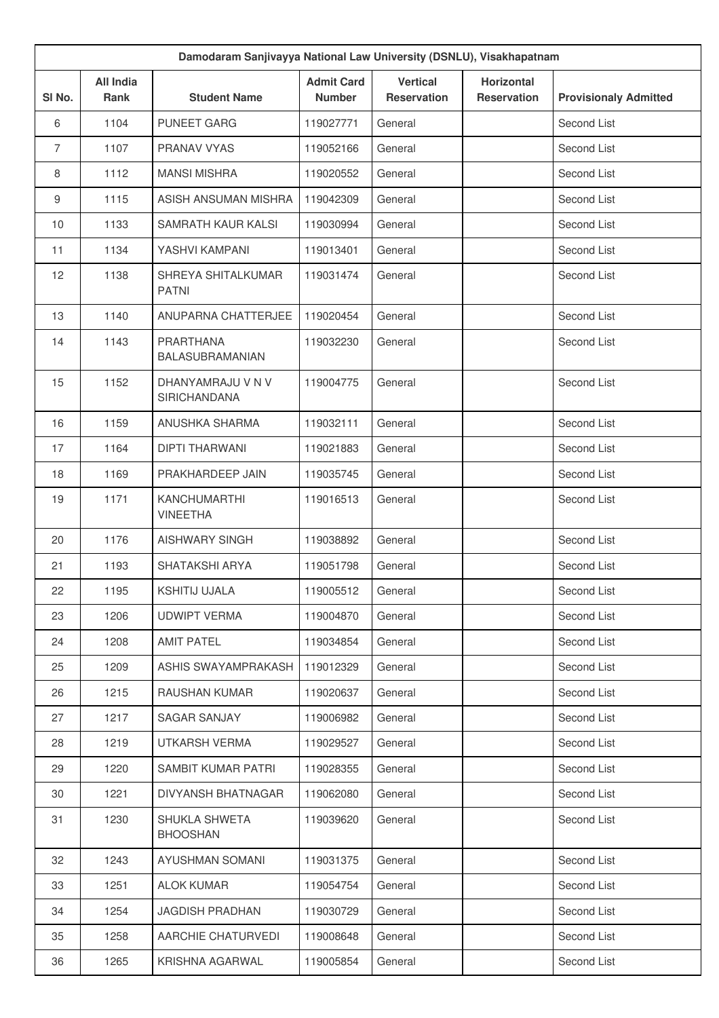| Damodaram Sanjivayya National Law University (DSNLU), Visakhapatnam |                                 |                                          |                                    |                                       |                                         |                              |
|---------------------------------------------------------------------|---------------------------------|------------------------------------------|------------------------------------|---------------------------------------|-----------------------------------------|------------------------------|
| SI No.                                                              | <b>All India</b><br><b>Rank</b> | <b>Student Name</b>                      | <b>Admit Card</b><br><b>Number</b> | <b>Vertical</b><br><b>Reservation</b> | <b>Horizontal</b><br><b>Reservation</b> | <b>Provisionaly Admitted</b> |
| 6                                                                   | 1104                            | <b>PUNEET GARG</b>                       | 119027771                          | General                               |                                         | Second List                  |
| $\overline{7}$                                                      | 1107                            | PRANAV VYAS                              | 119052166                          | General                               |                                         | Second List                  |
| 8                                                                   | 1112                            | <b>MANSI MISHRA</b>                      | 119020552                          | General                               |                                         | Second List                  |
| 9                                                                   | 1115                            | ASISH ANSUMAN MISHRA                     | 119042309                          | General                               |                                         | Second List                  |
| 10                                                                  | 1133                            | SAMRATH KAUR KALSI                       | 119030994                          | General                               |                                         | Second List                  |
| 11                                                                  | 1134                            | YASHVI KAMPANI                           | 119013401                          | General                               |                                         | Second List                  |
| 12                                                                  | 1138                            | SHREYA SHITALKUMAR<br><b>PATNI</b>       | 119031474                          | General                               |                                         | Second List                  |
| 13                                                                  | 1140                            | ANUPARNA CHATTERJEE                      | 119020454                          | General                               |                                         | Second List                  |
| 14                                                                  | 1143                            | PRARTHANA<br>BALASUBRAMANIAN             | 119032230                          | General                               |                                         | Second List                  |
| 15                                                                  | 1152                            | DHANYAMRAJU V N V<br><b>SIRICHANDANA</b> | 119004775                          | General                               |                                         | Second List                  |
| 16                                                                  | 1159                            | ANUSHKA SHARMA                           | 119032111                          | General                               |                                         | Second List                  |
| 17                                                                  | 1164                            | <b>DIPTI THARWANI</b>                    | 119021883                          | General                               |                                         | Second List                  |
| 18                                                                  | 1169                            | PRAKHARDEEP JAIN                         | 119035745                          | General                               |                                         | Second List                  |
| 19                                                                  | 1171                            | <b>KANCHUMARTHI</b><br><b>VINEETHA</b>   | 119016513                          | General                               |                                         | Second List                  |
| 20                                                                  | 1176                            | <b>AISHWARY SINGH</b>                    | 119038892                          | General                               |                                         | Second List                  |
| 21                                                                  | 1193                            | SHATAKSHI ARYA                           | 119051798                          | General                               |                                         | Second List                  |
| 22                                                                  | 1195                            | <b>KSHITIJ UJALA</b>                     | 119005512                          | General                               |                                         | Second List                  |
| 23                                                                  | 1206                            | <b>UDWIPT VERMA</b>                      | 119004870                          | General                               |                                         | Second List                  |
| 24                                                                  | 1208                            | <b>AMIT PATEL</b>                        | 119034854                          | General                               |                                         | Second List                  |
| 25                                                                  | 1209                            | ASHIS SWAYAMPRAKASH                      | 119012329                          | General                               |                                         | Second List                  |
| 26                                                                  | 1215                            | RAUSHAN KUMAR                            | 119020637                          | General                               |                                         | Second List                  |
| 27                                                                  | 1217                            | SAGAR SANJAY                             | 119006982                          | General                               |                                         | Second List                  |
| 28                                                                  | 1219                            | UTKARSH VERMA                            | 119029527                          | General                               |                                         | Second List                  |
| 29                                                                  | 1220                            | SAMBIT KUMAR PATRI                       | 119028355                          | General                               |                                         | Second List                  |
| 30                                                                  | 1221                            | DIVYANSH BHATNAGAR                       | 119062080                          | General                               |                                         | Second List                  |
| 31                                                                  | 1230                            | <b>SHUKLA SHWETA</b><br><b>BHOOSHAN</b>  | 119039620                          | General                               |                                         | Second List                  |
| 32                                                                  | 1243                            | AYUSHMAN SOMANI                          | 119031375                          | General                               |                                         | Second List                  |
| 33                                                                  | 1251                            | <b>ALOK KUMAR</b>                        | 119054754                          | General                               |                                         | Second List                  |
| 34                                                                  | 1254                            | <b>JAGDISH PRADHAN</b>                   | 119030729                          | General                               |                                         | Second List                  |
| 35                                                                  | 1258                            | AARCHIE CHATURVEDI                       | 119008648                          | General                               |                                         | Second List                  |
| 36                                                                  | 1265                            | KRISHNA AGARWAL                          | 119005854                          | General                               |                                         | Second List                  |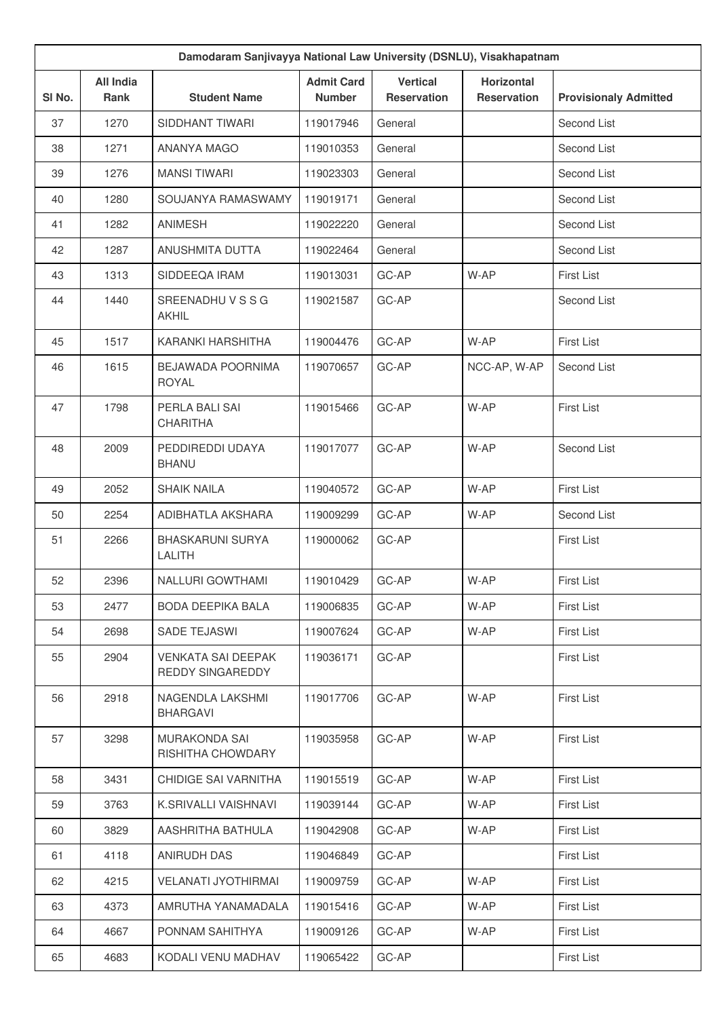| Damodaram Sanjivayya National Law University (DSNLU), Visakhapatnam |                          |                                               |                                    |                                       |                                         |                              |
|---------------------------------------------------------------------|--------------------------|-----------------------------------------------|------------------------------------|---------------------------------------|-----------------------------------------|------------------------------|
| SI No.                                                              | <b>All India</b><br>Rank | <b>Student Name</b>                           | <b>Admit Card</b><br><b>Number</b> | <b>Vertical</b><br><b>Reservation</b> | <b>Horizontal</b><br><b>Reservation</b> | <b>Provisionaly Admitted</b> |
| 37                                                                  | 1270                     | SIDDHANT TIWARI                               | 119017946                          | General                               |                                         | Second List                  |
| 38                                                                  | 1271                     | ANANYA MAGO                                   | 119010353                          | General                               |                                         | Second List                  |
| 39                                                                  | 1276                     | <b>MANSI TIWARI</b>                           | 119023303                          | General                               |                                         | Second List                  |
| 40                                                                  | 1280                     | SOUJANYA RAMASWAMY                            | 119019171                          | General                               |                                         | Second List                  |
| 41                                                                  | 1282                     | <b>ANIMESH</b>                                | 119022220                          | General                               |                                         | Second List                  |
| 42                                                                  | 1287                     | <b>ANUSHMITA DUTTA</b>                        | 119022464                          | General                               |                                         | Second List                  |
| 43                                                                  | 1313                     | SIDDEEQA IRAM                                 | 119013031                          | GC-AP                                 | W-AP                                    | First List                   |
| 44                                                                  | 1440                     | SREENADHUVSSG<br>AKHIL                        | 119021587                          | GC-AP                                 |                                         | Second List                  |
| 45                                                                  | 1517                     | KARANKI HARSHITHA                             | 119004476                          | GC-AP                                 | W-AP                                    | First List                   |
| 46                                                                  | 1615                     | <b>BEJAWADA POORNIMA</b><br><b>ROYAL</b>      | 119070657                          | GC-AP                                 | NCC-AP, W-AP                            | Second List                  |
| 47                                                                  | 1798                     | PERLA BALI SAI<br><b>CHARITHA</b>             | 119015466                          | GC-AP                                 | W-AP                                    | <b>First List</b>            |
| 48                                                                  | 2009                     | PEDDIREDDI UDAYA<br><b>BHANU</b>              | 119017077                          | GC-AP                                 | W-AP                                    | Second List                  |
| 49                                                                  | 2052                     | <b>SHAIK NAILA</b>                            | 119040572                          | GC-AP                                 | W-AP                                    | First List                   |
| 50                                                                  | 2254                     | ADIBHATLA AKSHARA                             | 119009299                          | GC-AP                                 | W-AP                                    | Second List                  |
| 51                                                                  | 2266                     | <b>BHASKARUNI SURYA</b><br>LALITH             | 119000062                          | GC-AP                                 |                                         | First List                   |
| 52                                                                  | 2396                     | NALLURI GOWTHAMI                              | 119010429                          | GC-AP                                 | W-AP                                    | <b>First List</b>            |
| 53                                                                  | 2477                     | BODA DEEPIKA BALA                             | 119006835                          | GC-AP                                 | W-AP                                    | <b>First List</b>            |
| 54                                                                  | 2698                     | SADE TEJASWI                                  | 119007624                          | GC-AP                                 | W-AP                                    | First List                   |
| 55                                                                  | 2904                     | <b>VENKATA SAI DEEPAK</b><br>REDDY SINGAREDDY | 119036171                          | GC-AP                                 |                                         | <b>First List</b>            |
| 56                                                                  | 2918                     | NAGENDLA LAKSHMI<br><b>BHARGAVI</b>           | 119017706                          | GC-AP                                 | W-AP                                    | <b>First List</b>            |
| 57                                                                  | 3298                     | <b>MURAKONDA SAI</b><br>RISHITHA CHOWDARY     | 119035958                          | GC-AP                                 | W-AP                                    | First List                   |
| 58                                                                  | 3431                     | CHIDIGE SAI VARNITHA                          | 119015519                          | GC-AP                                 | W-AP                                    | First List                   |
| 59                                                                  | 3763                     | K.SRIVALLI VAISHNAVI                          | 119039144                          | GC-AP                                 | W-AP                                    | First List                   |
| 60                                                                  | 3829                     | AASHRITHA BATHULA                             | 119042908                          | GC-AP                                 | W-AP                                    | <b>First List</b>            |
| 61                                                                  | 4118                     | ANIRUDH DAS                                   | 119046849                          | GC-AP                                 |                                         | First List                   |
| 62                                                                  | 4215                     | <b>VELANATI JYOTHIRMAI</b>                    | 119009759                          | GC-AP                                 | W-AP                                    | First List                   |
| 63                                                                  | 4373                     | AMRUTHA YANAMADALA                            | 119015416                          | GC-AP                                 | W-AP                                    | <b>First List</b>            |
| 64                                                                  | 4667                     | PONNAM SAHITHYA                               | 119009126                          | GC-AP                                 | W-AP                                    | <b>First List</b>            |
| 65                                                                  | 4683                     | KODALI VENU MADHAV                            | 119065422                          | GC-AP                                 |                                         | First List                   |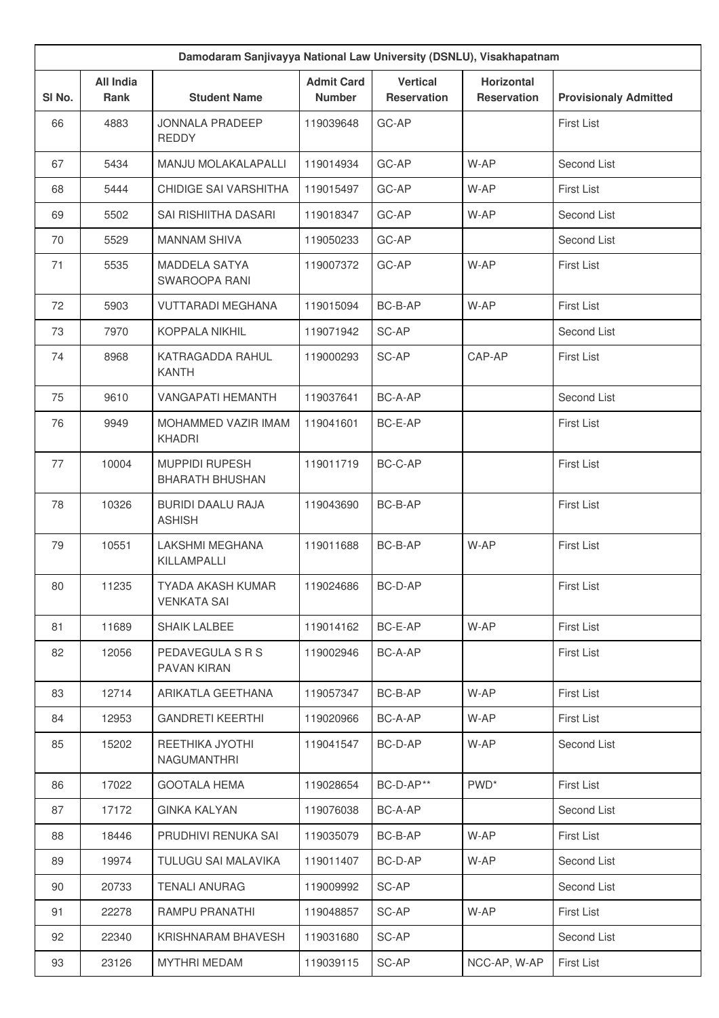| Damodaram Sanjivayya National Law University (DSNLU), Visakhapatnam |                          |                                                 |                                    |                                |                                         |                              |
|---------------------------------------------------------------------|--------------------------|-------------------------------------------------|------------------------------------|--------------------------------|-----------------------------------------|------------------------------|
| SI No.                                                              | <b>All India</b><br>Rank | <b>Student Name</b>                             | <b>Admit Card</b><br><b>Number</b> | <b>Vertical</b><br>Reservation | <b>Horizontal</b><br><b>Reservation</b> | <b>Provisionaly Admitted</b> |
| 66                                                                  | 4883                     | <b>JONNALA PRADEEP</b><br><b>REDDY</b>          | 119039648                          | GC-AP                          |                                         | <b>First List</b>            |
| 67                                                                  | 5434                     | MANJU MOLAKALAPALLI                             | 119014934                          | GC-AP                          | W-AP                                    | Second List                  |
| 68                                                                  | 5444                     | CHIDIGE SAI VARSHITHA                           | 119015497                          | GC-AP                          | W-AP                                    | First List                   |
| 69                                                                  | 5502                     | SAI RISHIITHA DASARI                            | 119018347                          | GC-AP                          | W-AP                                    | Second List                  |
| 70                                                                  | 5529                     | <b>MANNAM SHIVA</b>                             | 119050233                          | GC-AP                          |                                         | Second List                  |
| 71                                                                  | 5535                     | <b>MADDELA SATYA</b><br>SWAROOPA RANI           | 119007372                          | GC-AP                          | W-AP                                    | <b>First List</b>            |
| 72                                                                  | 5903                     | <b>VUTTARADI MEGHANA</b>                        | 119015094                          | BC-B-AP                        | W-AP                                    | <b>First List</b>            |
| 73                                                                  | 7970                     | <b>KOPPALA NIKHIL</b>                           | 119071942                          | SC-AP                          |                                         | Second List                  |
| 74                                                                  | 8968                     | KATRAGADDA RAHUL<br><b>KANTH</b>                | 119000293                          | SC-AP                          | CAP-AP                                  | First List                   |
| 75                                                                  | 9610                     | <b>VANGAPATI HEMANTH</b>                        | 119037641                          | BC-A-AP                        |                                         | Second List                  |
| 76                                                                  | 9949                     | MOHAMMED VAZIR IMAM<br><b>KHADRI</b>            | 119041601                          | BC-E-AP                        |                                         | First List                   |
| 77                                                                  | 10004                    | <b>MUPPIDI RUPESH</b><br><b>BHARATH BHUSHAN</b> | 119011719                          | BC-C-AP                        |                                         | <b>First List</b>            |
| 78                                                                  | 10326                    | <b>BURIDI DAALU RAJA</b><br><b>ASHISH</b>       | 119043690                          | BC-B-AP                        |                                         | First List                   |
| 79                                                                  | 10551                    | LAKSHMI MEGHANA<br>KILLAMPALLI                  | 119011688                          | BC-B-AP                        | W-AP                                    | First List                   |
| 80                                                                  | 11235                    | TYADA AKASH KUMAR<br><b>VENKATA SAI</b>         | 119024686                          | BC-D-AP                        |                                         | First List                   |
| 81                                                                  | 11689                    | SHAIK LALBEE                                    | 119014162                          | BC-E-AP                        | W-AP                                    | First List                   |
| 82                                                                  | 12056                    | PEDAVEGULA S R S<br>PAVAN KIRAN                 | 119002946                          | BC-A-AP                        |                                         | First List                   |
| 83                                                                  | 12714                    | ARIKATLA GEETHANA                               | 119057347                          | BC-B-AP                        | W-AP                                    | First List                   |
| 84                                                                  | 12953                    | <b>GANDRETI KEERTHI</b>                         | 119020966                          | BC-A-AP                        | W-AP                                    | First List                   |
| 85                                                                  | 15202                    | REETHIKA JYOTHI<br><b>NAGUMANTHRI</b>           | 119041547                          | BC-D-AP                        | W-AP                                    | Second List                  |
| 86                                                                  | 17022                    | <b>GOOTALA HEMA</b>                             | 119028654                          | BC-D-AP**                      | PWD <sup>*</sup>                        | First List                   |
| 87                                                                  | 17172                    | <b>GINKA KALYAN</b>                             | 119076038                          | BC-A-AP                        |                                         | Second List                  |
| 88                                                                  | 18446                    | PRUDHIVI RENUKA SAI                             | 119035079                          | BC-B-AP                        | W-AP                                    | First List                   |
| 89                                                                  | 19974                    | TULUGU SAI MALAVIKA                             | 119011407                          | BC-D-AP                        | W-AP                                    | Second List                  |
| 90                                                                  | 20733                    | <b>TENALI ANURAG</b>                            | 119009992                          | SC-AP                          |                                         | Second List                  |
| 91                                                                  | 22278                    | RAMPU PRANATHI                                  | 119048857                          | SC-AP                          | W-AP                                    | First List                   |
| 92                                                                  | 22340                    | KRISHNARAM BHAVESH                              | 119031680                          | SC-AP                          |                                         | Second List                  |
| 93                                                                  | 23126                    | <b>MYTHRI MEDAM</b>                             | 119039115                          | SC-AP                          | NCC-AP, W-AP                            | First List                   |